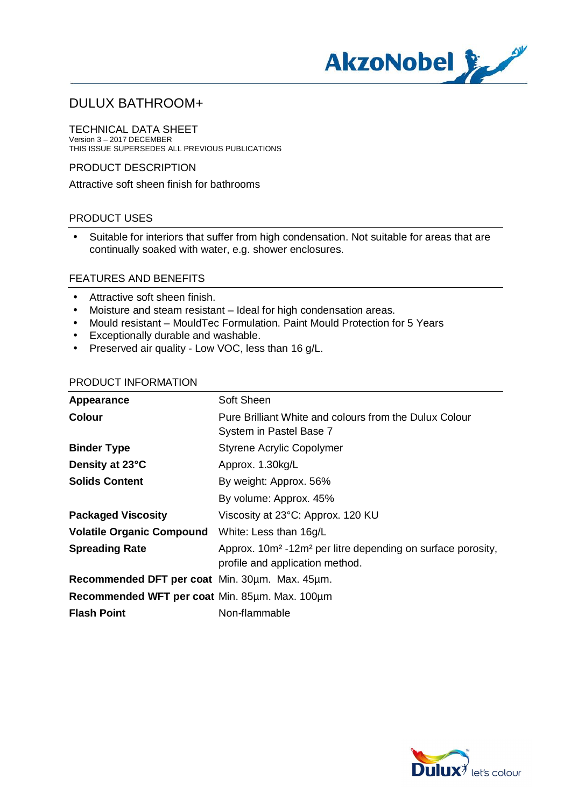

TECHNICAL DATA SHEET Version 3 – 2017 DECEMBER THIS ISSUE SUPERSEDES ALL PREVIOUS PUBLICATIONS

PRODUCT DESCRIPTION

Attractive soft sheen finish for bathrooms

### PRODUCT USES

 Suitable for interiors that suffer from high condensation. Not suitable for areas that are continually soaked with water, e.g. shower enclosures.

#### FEATURES AND BENEFITS

- Attractive soft sheen finish.
- Moisture and steam resistant Ideal for high condensation areas. ä,
- Mould resistant MouldTec Formulation. Paint Mould Protection for 5 Years
- Exceptionally durable and washable.
- Preserved air quality Low VOC, less than 16 g/L. t,

#### PRODUCT INFORMATION

| Appearance                                     | Soft Sheen                                                                                                             |
|------------------------------------------------|------------------------------------------------------------------------------------------------------------------------|
| <b>Colour</b>                                  | Pure Brilliant White and colours from the Dulux Colour<br>System in Pastel Base 7                                      |
| <b>Binder Type</b>                             | <b>Styrene Acrylic Copolymer</b>                                                                                       |
| Density at 23°C                                | Approx. 1.30kg/L                                                                                                       |
| <b>Solids Content</b>                          | By weight: Approx. 56%                                                                                                 |
|                                                | By volume: Approx. 45%                                                                                                 |
| <b>Packaged Viscosity</b>                      | Viscosity at 23°C: Approx. 120 KU                                                                                      |
| <b>Volatile Organic Compound</b>               | White: Less than 16g/L                                                                                                 |
| <b>Spreading Rate</b>                          | Approx. 10m <sup>2</sup> -12m <sup>2</sup> per litre depending on surface porosity,<br>profile and application method. |
| Recommended DFT per coat Min. 30um. Max. 45um. |                                                                                                                        |
| Recommended WFT per coat Min. 85um. Max. 100um |                                                                                                                        |
| <b>Flash Point</b>                             | Non-flammable                                                                                                          |

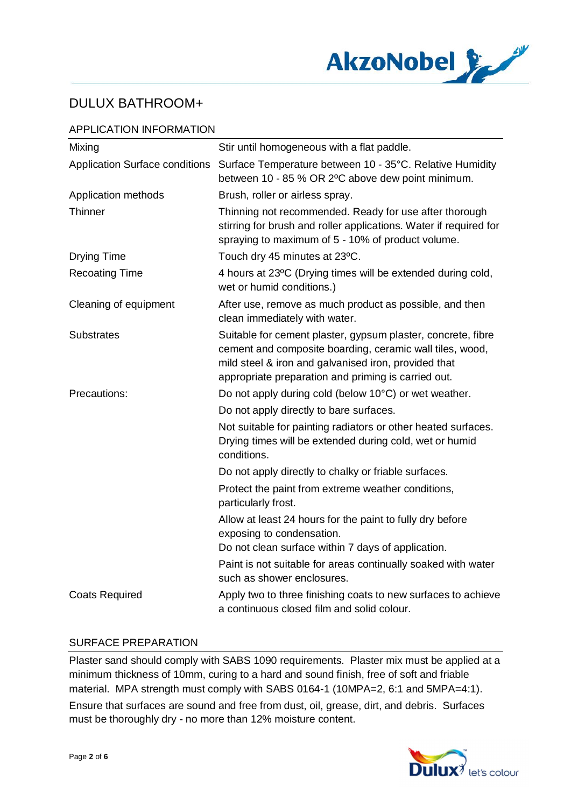

## APPLICATION INFORMATION

| Mixing                                | Stir until homogeneous with a flat paddle.                                                                                                                                                                                              |
|---------------------------------------|-----------------------------------------------------------------------------------------------------------------------------------------------------------------------------------------------------------------------------------------|
| <b>Application Surface conditions</b> | Surface Temperature between 10 - 35°C. Relative Humidity<br>between 10 - 85 % OR 2°C above dew point minimum.                                                                                                                           |
| Application methods                   | Brush, roller or airless spray.                                                                                                                                                                                                         |
| Thinner                               | Thinning not recommended. Ready for use after thorough<br>stirring for brush and roller applications. Water if required for<br>spraying to maximum of 5 - 10% of product volume.                                                        |
| <b>Drying Time</b>                    | Touch dry 45 minutes at 23°C.                                                                                                                                                                                                           |
| <b>Recoating Time</b>                 | 4 hours at 23°C (Drying times will be extended during cold,<br>wet or humid conditions.)                                                                                                                                                |
| Cleaning of equipment                 | After use, remove as much product as possible, and then<br>clean immediately with water.                                                                                                                                                |
| <b>Substrates</b>                     | Suitable for cement plaster, gypsum plaster, concrete, fibre<br>cement and composite boarding, ceramic wall tiles, wood,<br>mild steel & iron and galvanised iron, provided that<br>appropriate preparation and priming is carried out. |
| Precautions:                          | Do not apply during cold (below 10°C) or wet weather.                                                                                                                                                                                   |
|                                       | Do not apply directly to bare surfaces.                                                                                                                                                                                                 |
|                                       | Not suitable for painting radiators or other heated surfaces.<br>Drying times will be extended during cold, wet or humid<br>conditions.                                                                                                 |
|                                       | Do not apply directly to chalky or friable surfaces.                                                                                                                                                                                    |
|                                       | Protect the paint from extreme weather conditions,<br>particularly frost.                                                                                                                                                               |
|                                       | Allow at least 24 hours for the paint to fully dry before<br>exposing to condensation.                                                                                                                                                  |
|                                       | Do not clean surface within 7 days of application.                                                                                                                                                                                      |
|                                       | Paint is not suitable for areas continually soaked with water<br>such as shower enclosures.                                                                                                                                             |
| <b>Coats Required</b>                 | Apply two to three finishing coats to new surfaces to achieve<br>a continuous closed film and solid colour.                                                                                                                             |

## SURFACE PREPARATION

Plaster sand should comply with SABS 1090 requirements. Plaster mix must be applied at a minimum thickness of 10mm, curing to a hard and sound finish, free of soft and friable material. MPA strength must comply with SABS 0164-1 (10MPA=2, 6:1 and 5MPA=4:1). Ensure that surfaces are sound and free from dust, oil, grease, dirt, and debris. Surfaces must be thoroughly dry - no more than 12% moisture content.

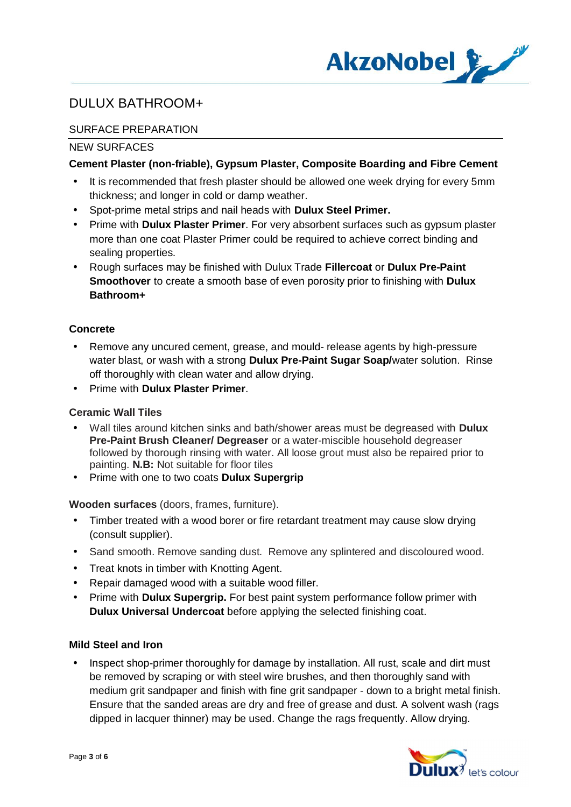

## SURFACE PREPARATION

## NEW SURFACES

## **Cement Plaster (non-friable), Gypsum Plaster, Composite Boarding and Fibre Cement**

- It is recommended that fresh plaster should be allowed one week drying for every 5mm thickness; and longer in cold or damp weather.
- Spot-prime metal strips and nail heads with **Dulux Steel Primer.**
- Prime with **Dulux Plaster Primer**. For very absorbent surfaces such as gypsum plaster more than one coat Plaster Primer could be required to achieve correct binding and sealing properties.
- Rough surfaces may be finished with Dulux Trade **Fillercoat** or **Dulux Pre-Paint Smoothover** to create a smooth base of even porosity prior to finishing with **Dulux Bathroom+**

## **Concrete**

- Remove any uncured cement, grease, and mould- release agents by high-pressure water blast, or wash with a strong **Dulux Pre-Paint Sugar Soap/**water solution. Rinse off thoroughly with clean water and allow drying.
- Prime with **Dulux Plaster Primer**.

### **Ceramic Wall Tiles**

- Wall tiles around kitchen sinks and bath/shower areas must be degreased with **Dulux Pre-Paint Brush Cleaner/ Degreaser** or a water-miscible household degreaser followed by thorough rinsing with water. All loose grout must also be repaired prior to painting. **N.B:** Not suitable for floor tiles
- Prime with one to two coats **Dulux Supergrip**

### **Wooden surfaces** (doors, frames, furniture).

- Timber treated with a wood borer or fire retardant treatment may cause slow drying (consult supplier).
- Sand smooth. Remove sanding dust. Remove any splintered and discoloured wood.
- Treat knots in timber with Knotting Agent.
- Repair damaged wood with a suitable wood filler.
- Prime with **Dulux Supergrip.** For best paint system performance follow primer with **Dulux Universal Undercoat** before applying the selected finishing coat.

### **Mild Steel and Iron**

 Inspect shop-primer thoroughly for damage by installation. All rust, scale and dirt must be removed by scraping or with steel wire brushes, and then thoroughly sand with medium grit sandpaper and finish with fine grit sandpaper - down to a bright metal finish. Ensure that the sanded areas are dry and free of grease and dust. A solvent wash (rags dipped in lacquer thinner) may be used. Change the rags frequently. Allow drying.

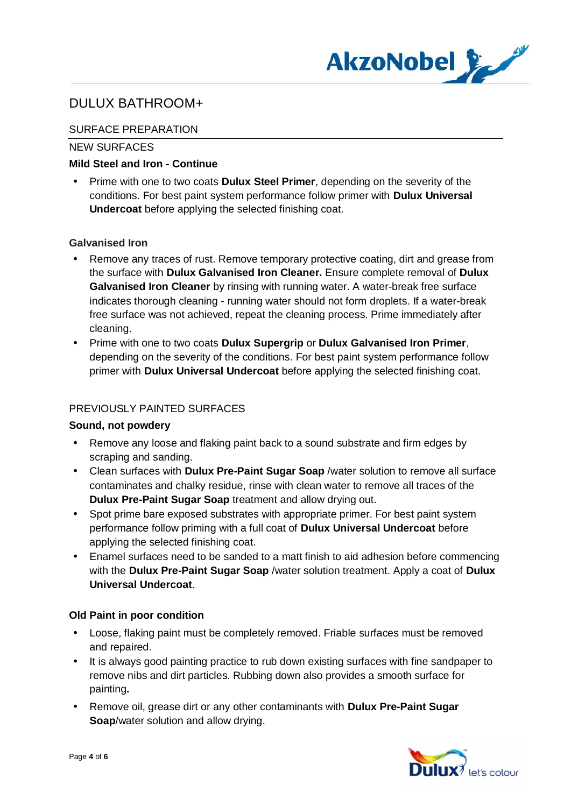

## SURFACE PREPARATION

NEW SURFACES

## **Mild Steel and Iron - Continue**

 Prime with one to two coats **Dulux Steel Primer**, depending on the severity of the conditions. For best paint system performance follow primer with **Dulux Universal Undercoat** before applying the selected finishing coat.

## **Galvanised Iron**

- Remove any traces of rust. Remove temporary protective coating, dirt and grease from the surface with **Dulux Galvanised Iron Cleaner.** Ensure complete removal of **Dulux Galvanised Iron Cleaner** by rinsing with running water. A water-break free surface indicates thorough cleaning - running water should not form droplets. If a water-break free surface was not achieved, repeat the cleaning process. Prime immediately after cleaning.
- Prime with one to two coats **Dulux Supergrip** or **Dulux Galvanised Iron Primer**, depending on the severity of the conditions. For best paint system performance follow primer with **Dulux Universal Undercoat** before applying the selected finishing coat.

## PREVIOUSLY PAINTED SURFACES

### **Sound, not powdery**

- Remove any loose and flaking paint back to a sound substrate and firm edges by scraping and sanding.
- Clean surfaces with **Dulux Pre-Paint Sugar Soap** /water solution to remove all surface contaminates and chalky residue, rinse with clean water to remove all traces of the **Dulux Pre-Paint Sugar Soap** treatment and allow drying out.
- Spot prime bare exposed substrates with appropriate primer. For best paint system performance follow priming with a full coat of **Dulux Universal Undercoat** before applying the selected finishing coat.
- Enamel surfaces need to be sanded to a matt finish to aid adhesion before commencing with the **Dulux Pre-Paint Sugar Soap** /water solution treatment. Apply a coat of **Dulux Universal Undercoat**.

### **Old Paint in poor condition**

- Loose, flaking paint must be completely removed. Friable surfaces must be removed and repaired.
- It is always good painting practice to rub down existing surfaces with fine sandpaper to remove nibs and dirt particles. Rubbing down also provides a smooth surface for painting**.**
- Remove oil, grease dirt or any other contaminants with **Dulux Pre-Paint Sugar Soap**/water solution and allow drying.

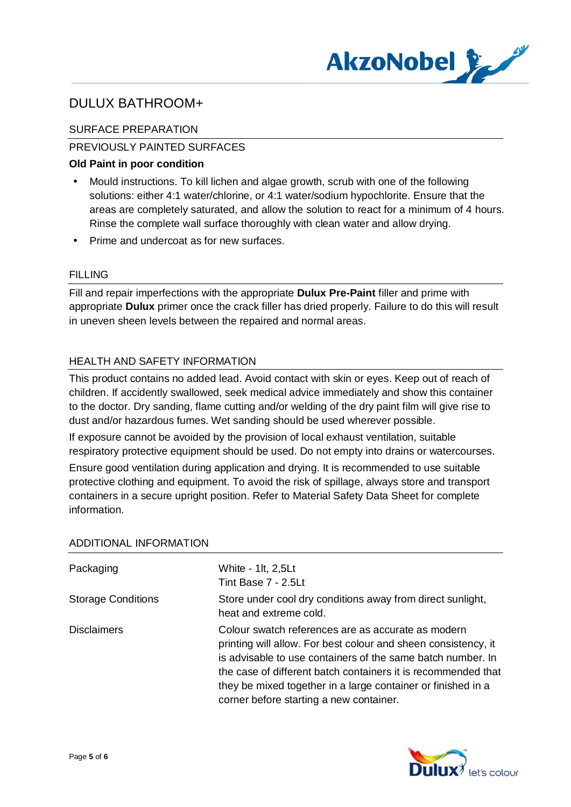

## SURFACE PREPARATION

## PREVIOUSLY PAINTED SURFACES

## **Old Paint in poor condition**

- Mould instructions. To kill lichen and algae growth, scrub with one of the following solutions: either 4:1 water/chlorine, or 4:1 water/sodium hypochlorite. Ensure that the areas are completely saturated, and allow the solution to react for a minimum of 4 hours. Rinse the complete wall surface thoroughly with clean water and allow drying.
- Prime and undercoat as for new surfaces. t.

### FILLING

Fill and repair imperfections with the appropriate **Dulux Pre-Paint** filler and prime with appropriate **Dulux** primer once the crack filler has dried properly. Failure to do this will result in uneven sheen levels between the repaired and normal areas.

## HEALTH AND SAFETY INFORMATION

This product contains no added lead. Avoid contact with skin or eyes. Keep out of reach of children. If accidently swallowed, seek medical advice immediately and show this container to the doctor. Dry sanding, flame cutting and/or welding of the dry paint film will give rise to dust and/or hazardous fumes. Wet sanding should be used wherever possible.

If exposure cannot be avoided by the provision of local exhaust ventilation, suitable respiratory protective equipment should be used. Do not empty into drains or watercourses.

Ensure good ventilation during application and drying. It is recommended to use suitable protective clothing and equipment. To avoid the risk of spillage, always store and transport containers in a secure upright position. Refer to Material Safety Data Sheet for complete information.

| Packaging                 | White - 1lt, 2,5Lt<br>Tint Base 7 - 2.5Lt                                                                                                                                                                                                                                                                                                                       |
|---------------------------|-----------------------------------------------------------------------------------------------------------------------------------------------------------------------------------------------------------------------------------------------------------------------------------------------------------------------------------------------------------------|
| <b>Storage Conditions</b> | Store under cool dry conditions away from direct sunlight,<br>heat and extreme cold.                                                                                                                                                                                                                                                                            |
| <b>Disclaimers</b>        | Colour swatch references are as accurate as modern<br>printing will allow. For best colour and sheen consistency, it<br>is advisable to use containers of the same batch number. In<br>the case of different batch containers it is recommended that<br>they be mixed together in a large container or finished in a<br>corner before starting a new container. |